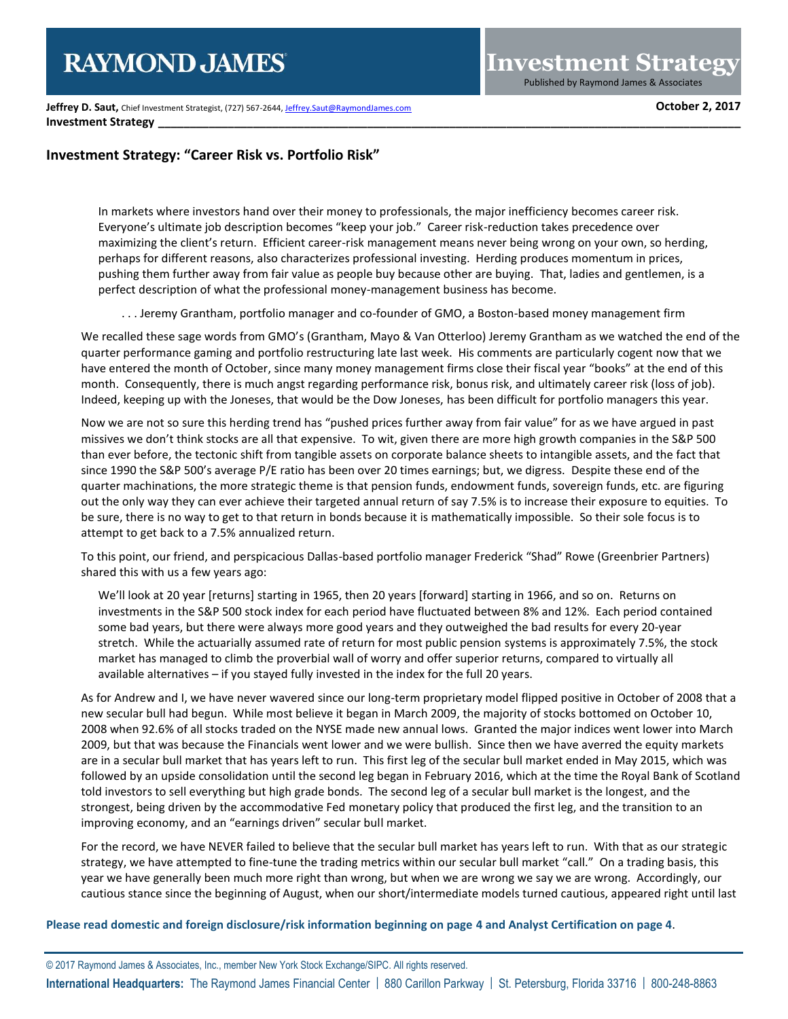**Jeffrey D. Saut,** Chief Investment Strategist, (727) 567-2644[, Jeffrey.Saut@RaymondJames.com](mailto:Jeffrey.Saut@RaymondJames.com) **October 2, 2017 Investment Strategy** 

# **Investment Strategy: "Career Risk vs. Portfolio Risk"**

In markets where investors hand over their money to professionals, the major inefficiency becomes career risk. Everyone's ultimate job description becomes "keep your job." Career risk-reduction takes precedence over maximizing the client's return. Efficient career-risk management means never being wrong on your own, so herding, perhaps for different reasons, also characterizes professional investing. Herding produces momentum in prices, pushing them further away from fair value as people buy because other are buying. That, ladies and gentlemen, is a perfect description of what the professional money-management business has become.

. . . Jeremy Grantham, portfolio manager and co-founder of GMO, a Boston-based money management firm

We recalled these sage words from GMO's (Grantham, Mayo & Van Otterloo) Jeremy Grantham as we watched the end of the quarter performance gaming and portfolio restructuring late last week. His comments are particularly cogent now that we have entered the month of October, since many money management firms close their fiscal year "books" at the end of this month. Consequently, there is much angst regarding performance risk, bonus risk, and ultimately career risk (loss of job). Indeed, keeping up with the Joneses, that would be the Dow Joneses, has been difficult for portfolio managers this year.

Now we are not so sure this herding trend has "pushed prices further away from fair value" for as we have argued in past missives we don't think stocks are all that expensive. To wit, given there are more high growth companies in the S&P 500 than ever before, the tectonic shift from tangible assets on corporate balance sheets to intangible assets, and the fact that since 1990 the S&P 500's average P/E ratio has been over 20 times earnings; but, we digress. Despite these end of the quarter machinations, the more strategic theme is that pension funds, endowment funds, sovereign funds, etc. are figuring out the only way they can ever achieve their targeted annual return of say 7.5% is to increase their exposure to equities. To be sure, there is no way to get to that return in bonds because it is mathematically impossible. So their sole focus is to attempt to get back to a 7.5% annualized return.

To this point, our friend, and perspicacious Dallas-based portfolio manager Frederick "Shad" Rowe (Greenbrier Partners) shared this with us a few years ago:

We'll look at 20 year [returns] starting in 1965, then 20 years [forward] starting in 1966, and so on. Returns on investments in the S&P 500 stock index for each period have fluctuated between 8% and 12%. Each period contained some bad years, but there were always more good years and they outweighed the bad results for every 20-year stretch. While the actuarially assumed rate of return for most public pension systems is approximately 7.5%, the stock market has managed to climb the proverbial wall of worry and offer superior returns, compared to virtually all available alternatives – if you stayed fully invested in the index for the full 20 years.

As for Andrew and I, we have never wavered since our long-term proprietary model flipped positive in October of 2008 that a new secular bull had begun. While most believe it began in March 2009, the majority of stocks bottomed on October 10, 2008 when 92.6% of all stocks traded on the NYSE made new annual lows. Granted the major indices went lower into March 2009, but that was because the Financials went lower and we were bullish. Since then we have averred the equity markets are in a secular bull market that has years left to run. This first leg of the secular bull market ended in May 2015, which was followed by an upside consolidation until the second leg began in February 2016, which at the time the Royal Bank of Scotland told investors to sell everything but high grade bonds. The second leg of a secular bull market is the longest, and the strongest, being driven by the accommodative Fed monetary policy that produced the first leg, and the transition to an improving economy, and an "earnings driven" secular bull market.

For the record, we have NEVER failed to believe that the secular bull market has years left to run. With that as our strategic strategy, we have attempted to fine-tune the trading metrics within our secular bull market "call." On a trading basis, this year we have generally been much more right than wrong, but when we are wrong we say we are wrong. Accordingly, our cautious stance since the beginning of August, when our short/intermediate models turned cautious, appeared right until last

**Please read domestic and foreign disclosure/risk information beginning on page 4 and Analyst Certification on page 4**.

© 2017 Raymond James & Associates, Inc., member New York Stock Exchange/SIPC. All rights reserved. **International Headquarters:** The Raymond James Financial Center | 880 Carillon Parkway | St. Petersburg, Florida 33716 | 800-248-8863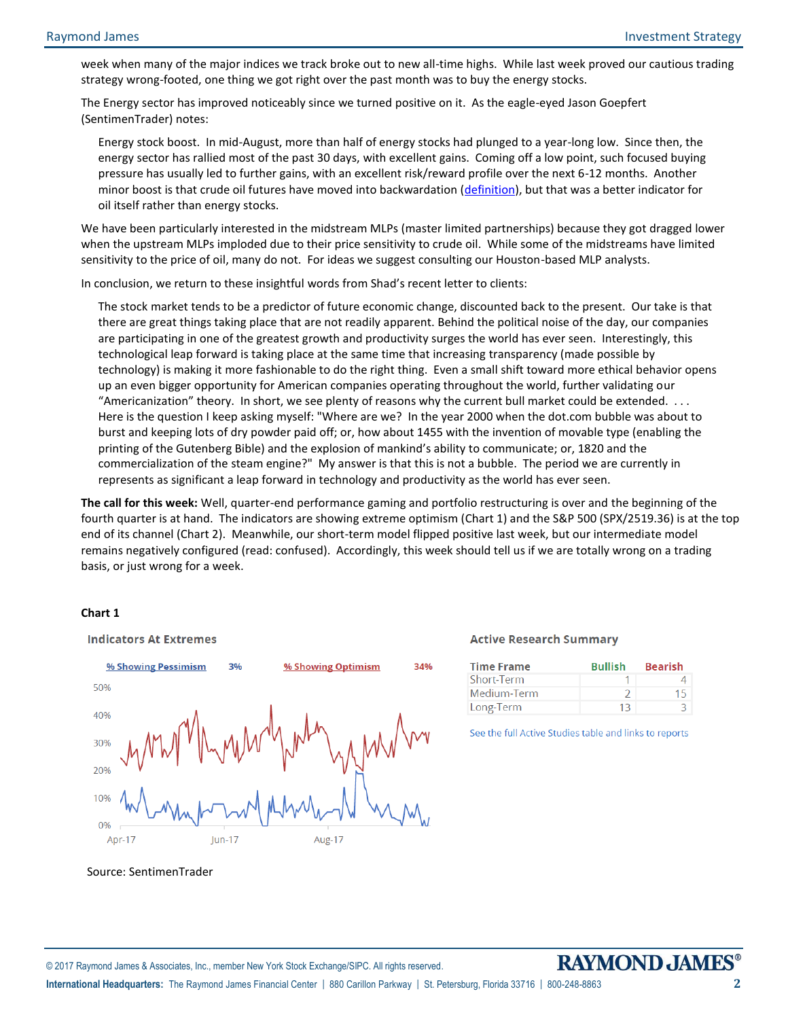week when many of the major indices we track broke out to new all-time highs. While last week proved our cautious trading strategy wrong-footed, one thing we got right over the past month was to buy the energy stocks.

The Energy sector has improved noticeably since we turned positive on it. As the eagle-eyed Jason Goepfert (SentimenTrader) notes:

Energy stock boost. In mid-August, more than half of energy stocks had plunged to a year-long low. Since then, the energy sector has rallied most of the past 30 days, with excellent gains. Coming off a low point, such focused buying pressure has usually led to further gains, with an excellent risk/reward profile over the next 6-12 months. Another minor boost is that crude oil futures have moved into backwardation [\(definition\)](https://en.wikipedia.org/wiki/Normal_backwardation), but that was a better indicator for oil itself rather than energy stocks.

We have been particularly interested in the midstream MLPs (master limited partnerships) because they got dragged lower when the upstream MLPs imploded due to their price sensitivity to crude oil. While some of the midstreams have limited sensitivity to the price of oil, many do not. For ideas we suggest consulting our Houston-based MLP analysts.

In conclusion, we return to these insightful words from Shad's recent letter to clients:

The stock market tends to be a predictor of future economic change, discounted back to the present. Our take is that there are great things taking place that are not readily apparent. Behind the political noise of the day, our companies are participating in one of the greatest growth and productivity surges the world has ever seen. Interestingly, this technological leap forward is taking place at the same time that increasing transparency (made possible by technology) is making it more fashionable to do the right thing. Even a small shift toward more ethical behavior opens up an even bigger opportunity for American companies operating throughout the world, further validating our "Americanization" theory. In short, we see plenty of reasons why the current bull market could be extended. . . . Here is the question I keep asking myself: "Where are we? In the year 2000 when the dot.com bubble was about to burst and keeping lots of dry powder paid off; or, how about 1455 with the invention of movable type (enabling the printing of the Gutenberg Bible) and the explosion of mankind's ability to communicate; or, 1820 and the commercialization of the steam engine?" My answer is that this is not a bubble. The period we are currently in represents as significant a leap forward in technology and productivity as the world has ever seen.

**The call for this week:** Well, quarter-end performance gaming and portfolio restructuring is over and the beginning of the fourth quarter is at hand. The indicators are showing extreme optimism (Chart 1) and the S&P 500 (SPX/2519.36) is at the top end of its channel (Chart 2). Meanwhile, our short-term model flipped positive last week, but our intermediate model remains negatively configured (read: confused). Accordingly, this week should tell us if we are totally wrong on a trading basis, or just wrong for a week.

# **Chart 1**



© 2017 Raymond James & Associates, Inc., member New York Stock Exchange/SIPC. All rights reserved.

#### **Active Research Summary**

| <b>Time Frame</b> | <b>Bullish</b> | <b>Bearish</b> |
|-------------------|----------------|----------------|
| Short-Term        |                |                |
| Medium-Term       |                | 15             |
| Long-Term         | 13             | К              |

See the full Active Studies table and links to reports

**International Headquarters:** The Raymond James Financial Center | 880 Carillon Parkway | St. Petersburg, Florida 33716 | 800-248-8863 **2**

Source: SentimenTrader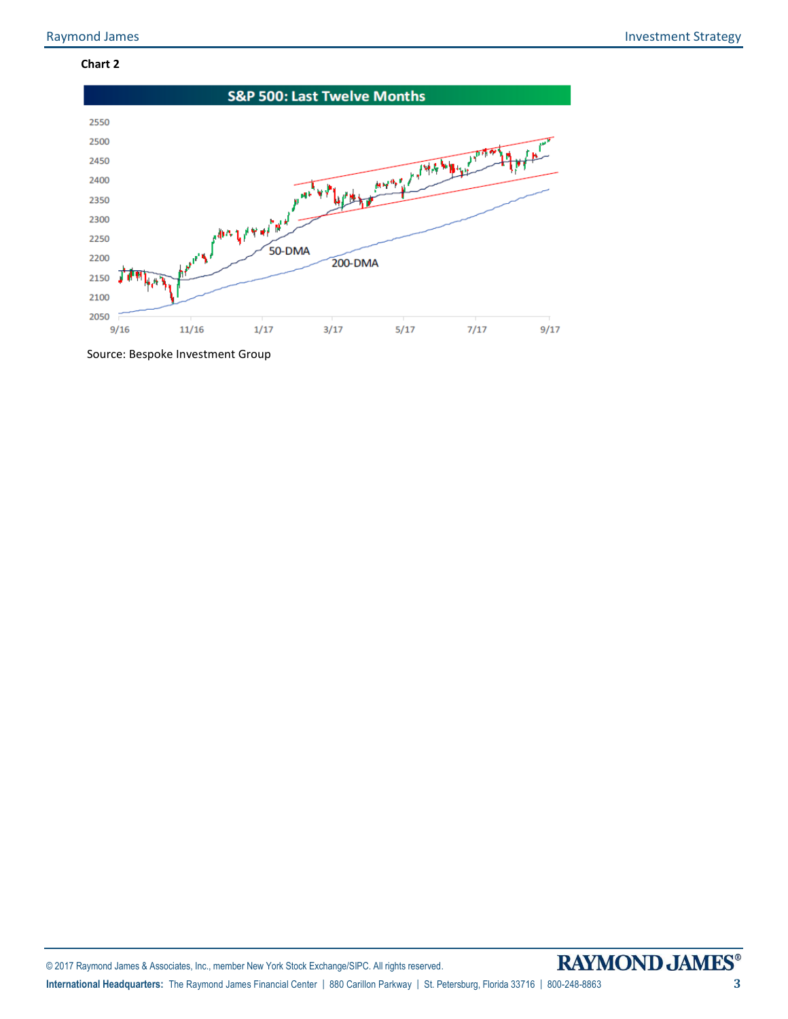# **Chart 2**



Source: Bespoke Investment Group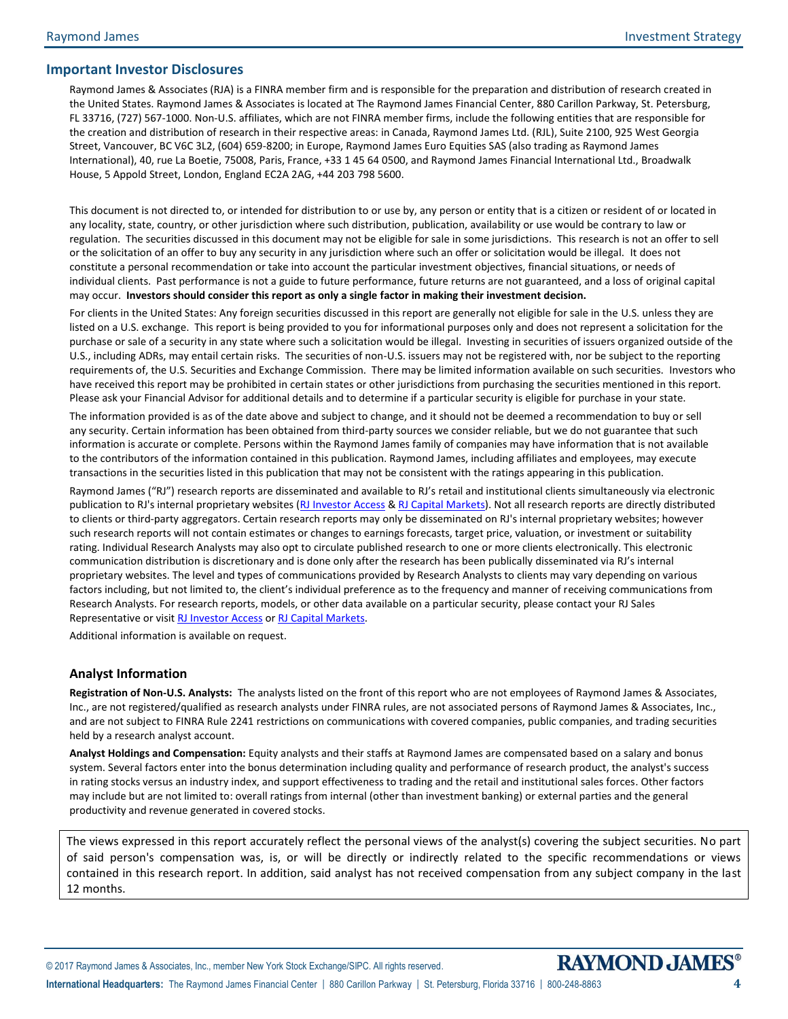# **Important Investor Disclosures**

Raymond James & Associates (RJA) is a FINRA member firm and is responsible for the preparation and distribution of research created in the United States. Raymond James & Associates is located at The Raymond James Financial Center, 880 Carillon Parkway, St. Petersburg, FL 33716, (727) 567-1000. Non-U.S. affiliates, which are not FINRA member firms, include the following entities that are responsible for the creation and distribution of research in their respective areas: in Canada, Raymond James Ltd. (RJL), Suite 2100, 925 West Georgia Street, Vancouver, BC V6C 3L2, (604) 659-8200; in Europe, Raymond James Euro Equities SAS (also trading as Raymond James International), 40, rue La Boetie, 75008, Paris, France, +33 1 45 64 0500, and Raymond James Financial International Ltd., Broadwalk House, 5 Appold Street, London, England EC2A 2AG, +44 203 798 5600.

This document is not directed to, or intended for distribution to or use by, any person or entity that is a citizen or resident of or located in any locality, state, country, or other jurisdiction where such distribution, publication, availability or use would be contrary to law or regulation. The securities discussed in this document may not be eligible for sale in some jurisdictions. This research is not an offer to sell or the solicitation of an offer to buy any security in any jurisdiction where such an offer or solicitation would be illegal. It does not constitute a personal recommendation or take into account the particular investment objectives, financial situations, or needs of individual clients. Past performance is not a guide to future performance, future returns are not guaranteed, and a loss of original capital may occur. **Investors should consider this report as only a single factor in making their investment decision.**

For clients in the United States: Any foreign securities discussed in this report are generally not eligible for sale in the U.S. unless they are listed on a U.S. exchange. This report is being provided to you for informational purposes only and does not represent a solicitation for the purchase or sale of a security in any state where such a solicitation would be illegal. Investing in securities of issuers organized outside of the U.S., including ADRs, may entail certain risks. The securities of non-U.S. issuers may not be registered with, nor be subject to the reporting requirements of, the U.S. Securities and Exchange Commission. There may be limited information available on such securities. Investors who have received this report may be prohibited in certain states or other jurisdictions from purchasing the securities mentioned in this report. Please ask your Financial Advisor for additional details and to determine if a particular security is eligible for purchase in your state.

The information provided is as of the date above and subject to change, and it should not be deemed a recommendation to buy or sell any security. Certain information has been obtained from third-party sources we consider reliable, but we do not guarantee that such information is accurate or complete. Persons within the Raymond James family of companies may have information that is not available to the contributors of the information contained in this publication. Raymond James, including affiliates and employees, may execute transactions in the securities listed in this publication that may not be consistent with the ratings appearing in this publication.

Raymond James ("RJ") research reports are disseminated and available to RJ's retail and institutional clients simultaneously via electronic publication to RJ's internal proprietary websites [\(RJ Investor Access](https://urldefense.proofpoint.com/v2/url?u=https-3A__investoraccess.rjf.com_&d=CwMFAg&c=Od00qP2XTg0tXf_H69-T2w&r=rNefLiWFkSilhqVDo70w43i53TsltTjCWk3T7beArK4&m=PC3IXwh9yes797fhP8lxVmKOzaJCoi7yXoDL8EwSFBo&s=y3WQdEai7OJL0j0ejHq1auUdg8kPQfDCBMkmD2HMOkE&e=) [& RJ Capital Markets\)](https://urldefense.proofpoint.com/v2/url?u=https-3A__www.rjcapitalmarkets.com_Logon_Index&d=CwMFAg&c=Od00qP2XTg0tXf_H69-T2w&r=rNefLiWFkSilhqVDo70w43i53TsltTjCWk3T7beArK4&m=PC3IXwh9yes797fhP8lxVmKOzaJCoi7yXoDL8EwSFBo&s=mLGRTdxZ5EwPQ9maeBsF0fvXad1Tt0SL_21LNPN2LVA&e=). Not all research reports are directly distributed to clients or third-party aggregators. Certain research reports may only be disseminated on RJ's internal proprietary websites; however such research reports will not contain estimates or changes to earnings forecasts, target price, valuation, or investment or suitability rating. Individual Research Analysts may also opt to circulate published research to one or more clients electronically. This electronic communication distribution is discretionary and is done only after the research has been publically disseminated via RJ's internal proprietary websites. The level and types of communications provided by Research Analysts to clients may vary depending on various factors including, but not limited to, the client's individual preference as to the frequency and manner of receiving communications from Research Analysts. For research reports, models, or other data available on a particular security, please contact your RJ Sales Representative or visit [RJ Investor Access](https://urldefense.proofpoint.com/v2/url?u=https-3A__investoraccess.rjf.com_&d=CwMFAg&c=Od00qP2XTg0tXf_H69-T2w&r=rNefLiWFkSilhqVDo70w43i53TsltTjCWk3T7beArK4&m=PC3IXwh9yes797fhP8lxVmKOzaJCoi7yXoDL8EwSFBo&s=y3WQdEai7OJL0j0ejHq1auUdg8kPQfDCBMkmD2HMOkE&e=) o[r RJ Capital Markets.](https://urldefense.proofpoint.com/v2/url?u=https-3A__www.rjcapitalmarkets.com_Logon_Index&d=CwMFAg&c=Od00qP2XTg0tXf_H69-T2w&r=rNefLiWFkSilhqVDo70w43i53TsltTjCWk3T7beArK4&m=PC3IXwh9yes797fhP8lxVmKOzaJCoi7yXoDL8EwSFBo&s=mLGRTdxZ5EwPQ9maeBsF0fvXad1Tt0SL_21LNPN2LVA&e=)

Additional information is available on request.

# **Analyst Information**

**Registration of Non-U.S. Analysts:** The analysts listed on the front of this report who are not employees of Raymond James & Associates, Inc., are not registered/qualified as research analysts under FINRA rules, are not associated persons of Raymond James & Associates, Inc., and are not subject to FINRA Rule 2241 restrictions on communications with covered companies, public companies, and trading securities held by a research analyst account.

**Analyst Holdings and Compensation:** Equity analysts and their staffs at Raymond James are compensated based on a salary and bonus system. Several factors enter into the bonus determination including quality and performance of research product, the analyst's success in rating stocks versus an industry index, and support effectiveness to trading and the retail and institutional sales forces. Other factors may include but are not limited to: overall ratings from internal (other than investment banking) or external parties and the general productivity and revenue generated in covered stocks.

The views expressed in this report accurately reflect the personal views of the analyst(s) covering the subject securities. No part of said person's compensation was, is, or will be directly or indirectly related to the specific recommendations or views contained in this research report. In addition, said analyst has not received compensation from any subject company in the last 12 months.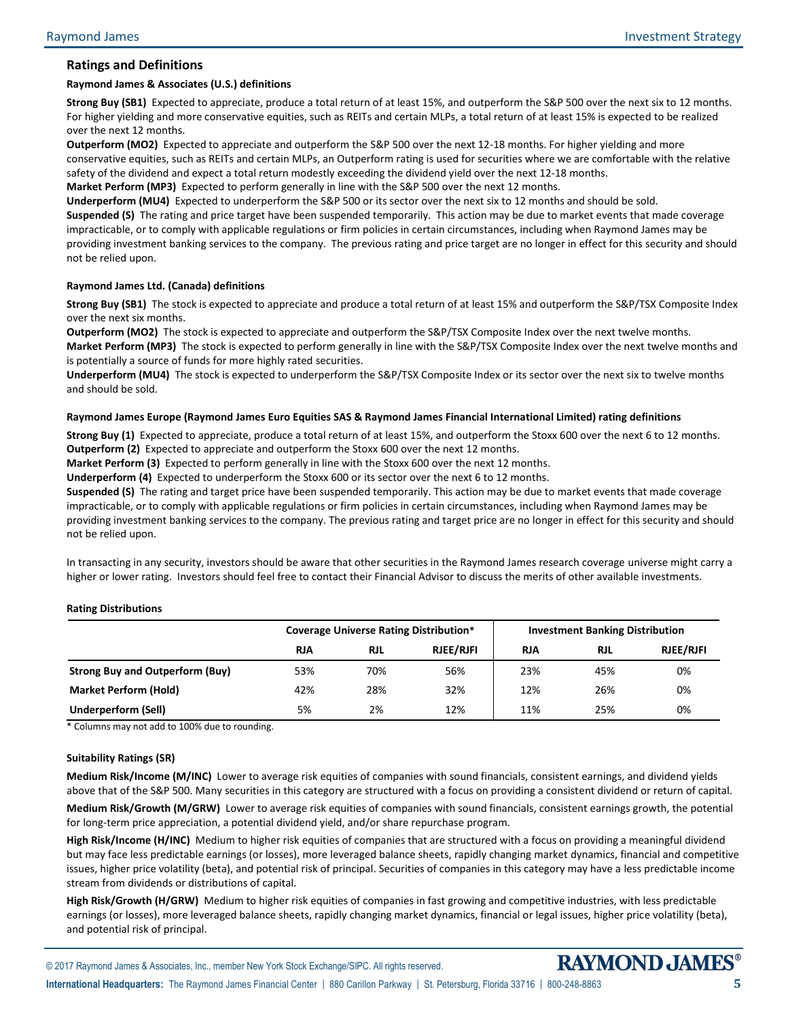# **Ratings and Definitions**

## **Raymond James & Associates (U.S.) definitions**

**Strong Buy (SB1)** Expected to appreciate, produce a total return of at least 15%, and outperform the S&P 500 over the next six to 12 months. For higher yielding and more conservative equities, such as REITs and certain MLPs, a total return of at least 15% is expected to be realized over the next 12 months.

**Outperform (MO2)** Expected to appreciate and outperform the S&P 500 over the next 12-18 months. For higher yielding and more conservative equities, such as REITs and certain MLPs, an Outperform rating is used for securities where we are comfortable with the relative safety of the dividend and expect a total return modestly exceeding the dividend yield over the next 12-18 months.

**Market Perform (MP3)** Expected to perform generally in line with the S&P 500 over the next 12 months.

**Underperform (MU4)** Expected to underperform the S&P 500 or its sector over the next six to 12 months and should be sold. **Suspended (S)** The rating and price target have been suspended temporarily. This action may be due to market events that made coverage impracticable, or to comply with applicable regulations or firm policies in certain circumstances, including when Raymond James may be providing investment banking services to the company. The previous rating and price target are no longer in effect for this security and should not be relied upon.

## **Raymond James Ltd. (Canada) definitions**

**Strong Buy (SB1)** The stock is expected to appreciate and produce a total return of at least 15% and outperform the S&P/TSX Composite Index over the next six months.

**Outperform (MO2)** The stock is expected to appreciate and outperform the S&P/TSX Composite Index over the next twelve months. **Market Perform (MP3)** The stock is expected to perform generally in line with the S&P/TSX Composite Index over the next twelve months and is potentially a source of funds for more highly rated securities.

**Underperform (MU4)** The stock is expected to underperform the S&P/TSX Composite Index or its sector over the next six to twelve months and should be sold.

#### **Raymond James Europe (Raymond James Euro Equities SAS & Raymond James Financial International Limited) rating definitions**

**Strong Buy (1)** Expected to appreciate, produce a total return of at least 15%, and outperform the Stoxx 600 over the next 6 to 12 months. **Outperform (2)** Expected to appreciate and outperform the Stoxx 600 over the next 12 months.

**Market Perform (3)** Expected to perform generally in line with the Stoxx 600 over the next 12 months.

**Underperform (4)** Expected to underperform the Stoxx 600 or its sector over the next 6 to 12 months.

**Suspended (S)** The rating and target price have been suspended temporarily. This action may be due to market events that made coverage impracticable, or to comply with applicable regulations or firm policies in certain circumstances, including when Raymond James may be providing investment banking services to the company. The previous rating and target price are no longer in effect for this security and should not be relied upon.

In transacting in any security, investors should be aware that other securities in the Raymond James research coverage universe might carry a higher or lower rating. Investors should feel free to contact their Financial Advisor to discuss the merits of other available investments.

#### **Rating Distributions**

|                                        | <b>Coverage Universe Rating Distribution*</b> |            |                  | <b>Investment Banking Distribution</b> |            |                  |
|----------------------------------------|-----------------------------------------------|------------|------------------|----------------------------------------|------------|------------------|
|                                        | <b>RJA</b>                                    | <b>RJL</b> | <b>RJEE/RJFI</b> | <b>RJA</b>                             | <b>RJL</b> | <b>RJEE/RJFI</b> |
| <b>Strong Buy and Outperform (Buy)</b> | 53%                                           | 70%        | 56%              | 23%                                    | 45%        | 0%               |
| <b>Market Perform (Hold)</b>           | 42%                                           | 28%        | 32%              | 12%                                    | 26%        | 0%               |
| <b>Underperform (Sell)</b>             | 5%                                            | 2%         | 12%              | 11%                                    | 25%        | 0%               |

\* Columns may not add to 100% due to rounding.

#### **Suitability Ratings (SR)**

**Medium Risk/Income (M/INC)** Lower to average risk equities of companies with sound financials, consistent earnings, and dividend yields above that of the S&P 500. Many securities in this category are structured with a focus on providing a consistent dividend or return of capital.

**Medium Risk/Growth (M/GRW)** Lower to average risk equities of companies with sound financials, consistent earnings growth, the potential for long-term price appreciation, a potential dividend yield, and/or share repurchase program.

**High Risk/Income (H/INC)** Medium to higher risk equities of companies that are structured with a focus on providing a meaningful dividend but may face less predictable earnings (or losses), more leveraged balance sheets, rapidly changing market dynamics, financial and competitive issues, higher price volatility (beta), and potential risk of principal. Securities of companies in this category may have a less predictable income stream from dividends or distributions of capital.

**High Risk/Growth (H/GRW)** Medium to higher risk equities of companies in fast growing and competitive industries, with less predictable earnings (or losses), more leveraged balance sheets, rapidly changing market dynamics, financial or legal issues, higher price volatility (beta), and potential risk of principal.

**International Headquarters:** The Raymond James Financial Center | 880 Carillon Parkway | St. Petersburg, Florida 33716 | 800-248-8863 **5**

© 2017 Raymond James & Associates, Inc., member New York Stock Exchange/SIPC. All rights reserved.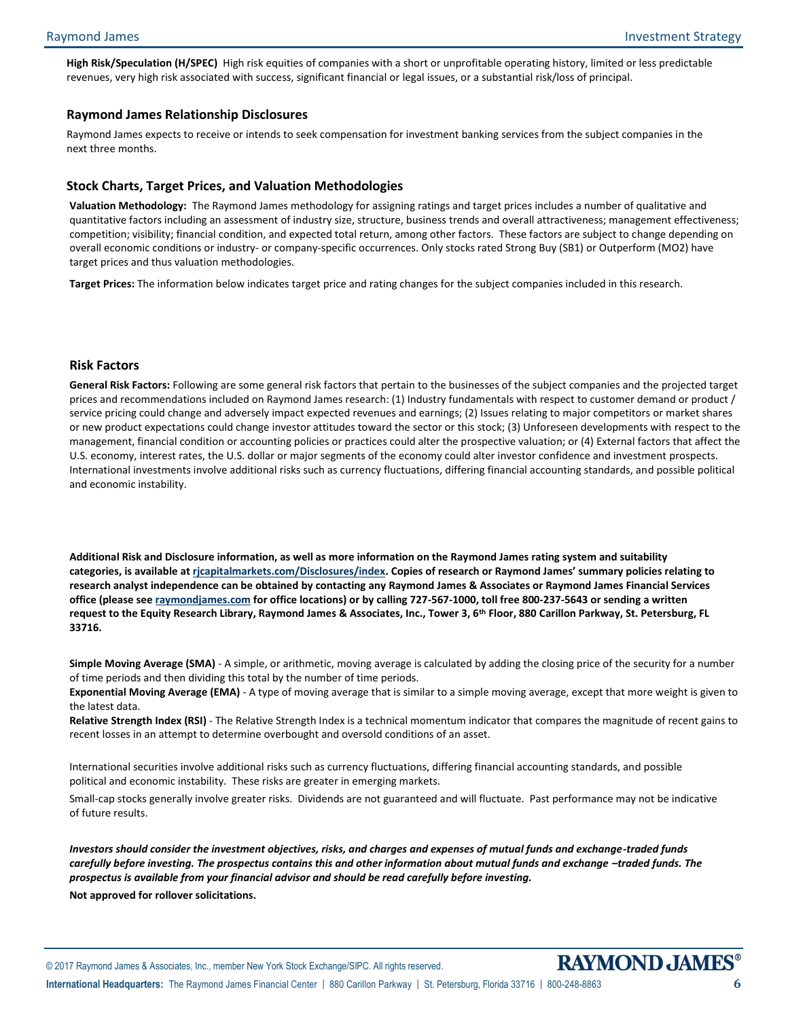**High Risk/Speculation (H/SPEC)** High risk equities of companies with a short or unprofitable operating history, limited or less predictable revenues, very high risk associated with success, significant financial or legal issues, or a substantial risk/loss of principal.

## **Raymond James Relationship Disclosures**

Raymond James expects to receive or intends to seek compensation for investment banking services from the subject companies in the next three months.

### **Stock Charts, Target Prices, and Valuation Methodologies**

**Valuation Methodology:** The Raymond James methodology for assigning ratings and target prices includes a number of qualitative and quantitative factors including an assessment of industry size, structure, business trends and overall attractiveness; management effectiveness; competition; visibility; financial condition, and expected total return, among other factors. These factors are subject to change depending on overall economic conditions or industry- or company-specific occurrences. Only stocks rated Strong Buy (SB1) or Outperform (MO2) have target prices and thus valuation methodologies.

**Target Prices:** The information below indicates target price and rating changes for the subject companies included in this research.

## **Risk Factors**

**General Risk Factors:** Following are some general risk factors that pertain to the businesses of the subject companies and the projected target prices and recommendations included on Raymond James research: (1) Industry fundamentals with respect to customer demand or product / service pricing could change and adversely impact expected revenues and earnings; (2) Issues relating to major competitors or market shares or new product expectations could change investor attitudes toward the sector or this stock; (3) Unforeseen developments with respect to the management, financial condition or accounting policies or practices could alter the prospective valuation; or (4) External factors that affect the U.S. economy, interest rates, the U.S. dollar or major segments of the economy could alter investor confidence and investment prospects. International investments involve additional risks such as currency fluctuations, differing financial accounting standards, and possible political and economic instability.

**Additional Risk and Disclosure information, as well as more information on the Raymond James rating system and suitability categories, is available at [rjcapitalmarkets.com/Disclosures/index](http://www.rjcapitalmarkets.com/Disclosures/index). Copies of research or Raymond James' summary policies relating to research analyst independence can be obtained by contacting any Raymond James & Associates or Raymond James Financial Services office (please se[e raymondjames.com](http://www.raymondjames.com/) for office locations) or by calling 727-567-1000, toll free 800-237-5643 or sending a written request to the Equity Research Library, Raymond James & Associates, Inc., Tower 3, 6th Floor, 880 Carillon Parkway, St. Petersburg, FL 33716.**

**Simple Moving Average (SMA)** - A simple, or arithmetic, moving average is calculated by adding the closing price of the security for a number of time periods and then dividing this total by the number of time periods.

**Exponential Moving Average (EMA)** - A type of moving average that is similar to a simple moving average, except that more weight is given to the latest data.

**Relative Strength Index (RSI)** - The Relative Strength Index is a technical momentum indicator that compares the magnitude of recent gains to recent losses in an attempt to determine overbought and oversold conditions of an asset.

International securities involve additional risks such as currency fluctuations, differing financial accounting standards, and possible political and economic instability. These risks are greater in emerging markets.

Small-cap stocks generally involve greater risks. Dividends are not guaranteed and will fluctuate. Past performance may not be indicative of future results.

*Investors should consider the investment objectives, risks, and charges and expenses of mutual funds and exchange-traded funds carefully before investing. The prospectus contains this and other information about mutual funds and exchange -traded funds. The prospectus is available from your financial advisor and should be read carefully before investing.*

**Not approved for rollover solicitations.**

**International Headquarters:** The Raymond James Financial Center | 880 Carillon Parkway | St. Petersburg, Florida 33716 | 800-248-8863 **6**

© 2017 Raymond James & Associates, Inc., member New York Stock Exchange/SIPC. All rights reserved.